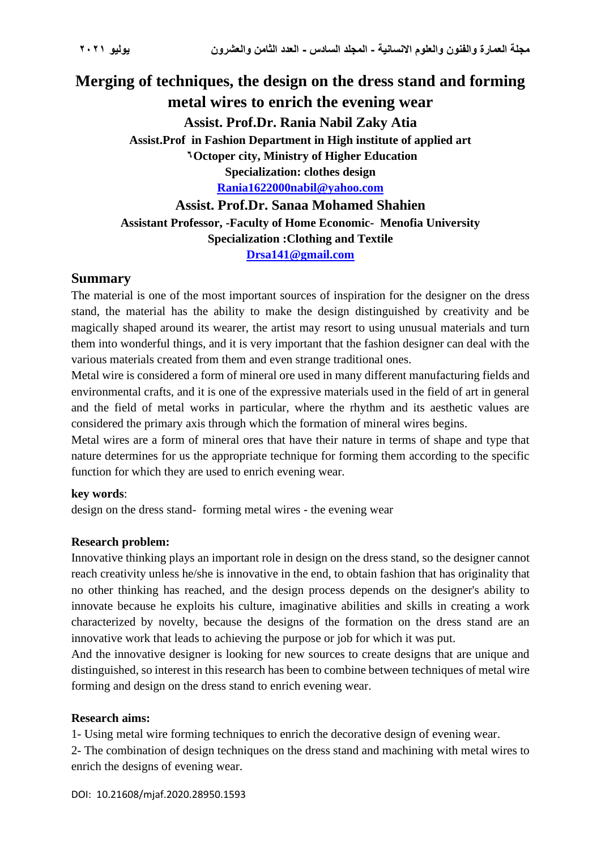# **Merging of techniques, the design on the dress stand and forming metal wires to enrich the evening wear Assist. Prof.Dr. Rania Nabil Zaky Atia Assist.Prof in Fashion Department in High institute of applied art 6** Octoper city, Ministry of Higher Education **Specialization: clothes design [Rania1622000nabil@yahoo.com](mailto:Rania1622000nabil@yahoo.com) Assist. Prof.Dr. Sanaa Mohamed Shahien Assistant Professor, -Faculty of Home Economic- Menofia University Specialization :Clothing and Textile**

**[Drsa141@gmail.com](mailto:Drsa141@gmail.com)**

## **Summary**

The material is one of the most important sources of inspiration for the designer on the dress stand, the material has the ability to make the design distinguished by creativity and be magically shaped around its wearer, the artist may resort to using unusual materials and turn them into wonderful things, and it is very important that the fashion designer can deal with the various materials created from them and even strange traditional ones.

Metal wire is considered a form of mineral ore used in many different manufacturing fields and environmental crafts, and it is one of the expressive materials used in the field of art in general and the field of metal works in particular, where the rhythm and its aesthetic values are considered the primary axis through which the formation of mineral wires begins.

Metal wires are a form of mineral ores that have their nature in terms of shape and type that nature determines for us the appropriate technique for forming them according to the specific function for which they are used to enrich evening wear.

## **key words**:

design on the dress stand- forming metal wires - the evening wear

## **Research problem:**

Innovative thinking plays an important role in design on the dress stand, so the designer cannot reach creativity unless he/she is innovative in the end, to obtain fashion that has originality that no other thinking has reached, and the design process depends on the designer's ability to innovate because he exploits his culture, imaginative abilities and skills in creating a work characterized by novelty, because the designs of the formation on the dress stand are an innovative work that leads to achieving the purpose or job for which it was put.

And the innovative designer is looking for new sources to create designs that are unique and distinguished, so interest in this research has been to combine between techniques of metal wire forming and design on the dress stand to enrich evening wear.

## **Research aims:**

1- Using metal wire forming techniques to enrich the decorative design of evening wear.

2- The combination of design techniques on the dress stand and machining with metal wires to enrich the designs of evening wear.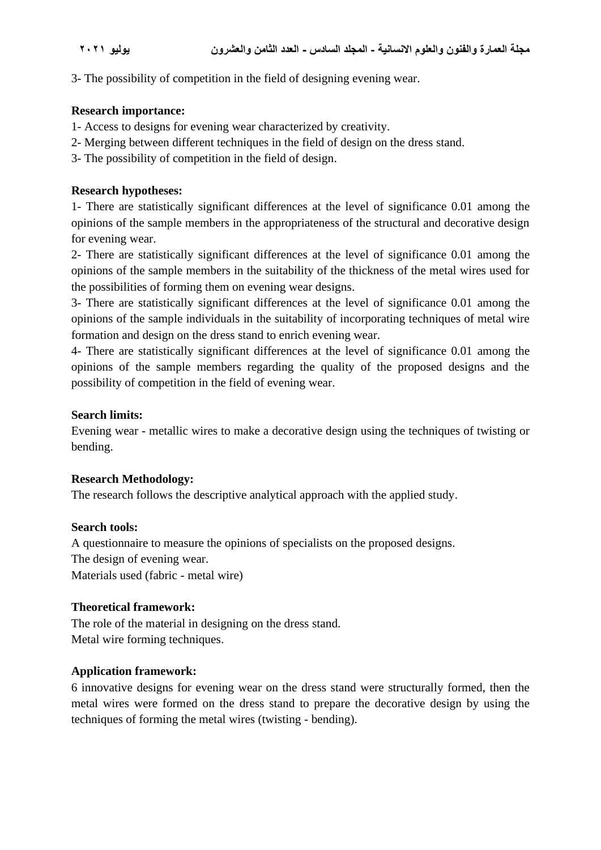3- The possibility of competition in the field of designing evening wear.

#### **Research importance:**

- 1- Access to designs for evening wear characterized by creativity.
- 2- Merging between different techniques in the field of design on the dress stand.
- 3- The possibility of competition in the field of design.

### **Research hypotheses:**

1- There are statistically significant differences at the level of significance 0.01 among the opinions of the sample members in the appropriateness of the structural and decorative design for evening wear.

2- There are statistically significant differences at the level of significance 0.01 among the opinions of the sample members in the suitability of the thickness of the metal wires used for the possibilities of forming them on evening wear designs.

3- There are statistically significant differences at the level of significance 0.01 among the opinions of the sample individuals in the suitability of incorporating techniques of metal wire formation and design on the dress stand to enrich evening wear.

4- There are statistically significant differences at the level of significance 0.01 among the opinions of the sample members regarding the quality of the proposed designs and the possibility of competition in the field of evening wear.

#### **Search limits:**

Evening wear - metallic wires to make a decorative design using the techniques of twisting or bending.

#### **Research Methodology:**

The research follows the descriptive analytical approach with the applied study.

#### **Search tools:**

A questionnaire to measure the opinions of specialists on the proposed designs. The design of evening wear. Materials used (fabric - metal wire)

## **Theoretical framework:**

The role of the material in designing on the dress stand. Metal wire forming techniques.

## **Application framework:**

6 innovative designs for evening wear on the dress stand were structurally formed, then the metal wires were formed on the dress stand to prepare the decorative design by using the techniques of forming the metal wires (twisting - bending).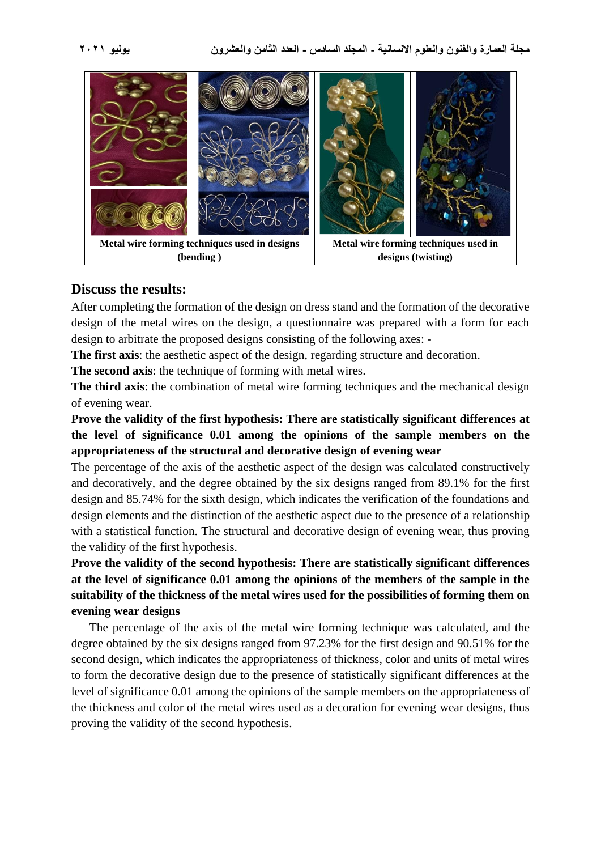

## **Discuss the results:**

After completing the formation of the design on dress stand and the formation of the decorative design of the metal wires on the design, a questionnaire was prepared with a form for each design to arbitrate the proposed designs consisting of the following axes: -

**The first axis**: the aesthetic aspect of the design, regarding structure and decoration.

**The second axis:** the technique of forming with metal wires.

**The third axis**: the combination of metal wire forming techniques and the mechanical design of evening wear.

**Prove the validity of the first hypothesis: There are statistically significant differences at the level of significance 0.01 among the opinions of the sample members on the appropriateness of the structural and decorative design of evening wear**

The percentage of the axis of the aesthetic aspect of the design was calculated constructively and decoratively, and the degree obtained by the six designs ranged from 89.1% for the first design and 85.74% for the sixth design, which indicates the verification of the foundations and design elements and the distinction of the aesthetic aspect due to the presence of a relationship with a statistical function. The structural and decorative design of evening wear, thus proving the validity of the first hypothesis.

**Prove the validity of the second hypothesis: There are statistically significant differences at the level of significance 0.01 among the opinions of the members of the sample in the suitability of the thickness of the metal wires used for the possibilities of forming them on evening wear designs**

The percentage of the axis of the metal wire forming technique was calculated, and the degree obtained by the six designs ranged from 97.23% for the first design and 90.51% for the second design, which indicates the appropriateness of thickness, color and units of metal wires to form the decorative design due to the presence of statistically significant differences at the level of significance 0.01 among the opinions of the sample members on the appropriateness of the thickness and color of the metal wires used as a decoration for evening wear designs, thus proving the validity of the second hypothesis.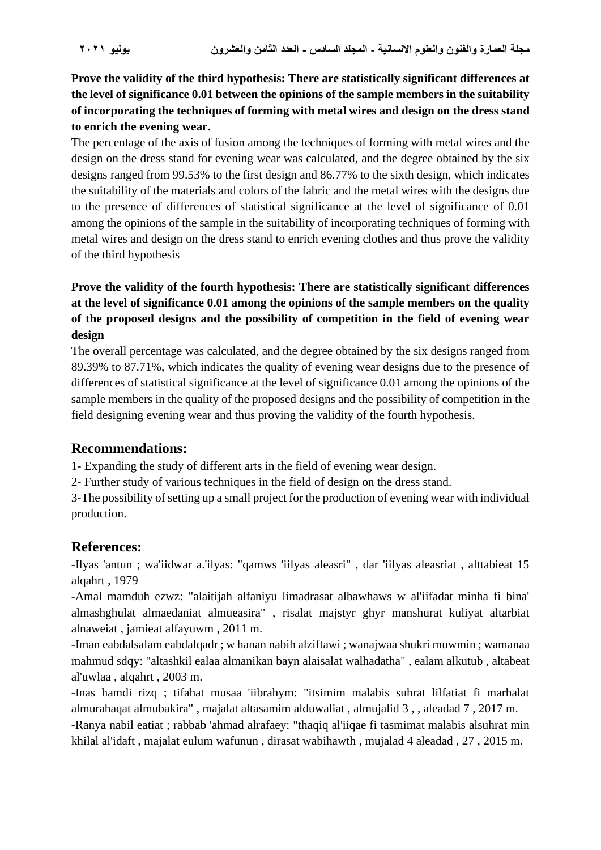**Prove the validity of the third hypothesis: There are statistically significant differences at the level of significance 0.01 between the opinions of the sample members in the suitability of incorporating the techniques of forming with metal wires and design on the dress stand to enrich the evening wear.**

The percentage of the axis of fusion among the techniques of forming with metal wires and the design on the dress stand for evening wear was calculated, and the degree obtained by the six designs ranged from 99.53% to the first design and 86.77% to the sixth design, which indicates the suitability of the materials and colors of the fabric and the metal wires with the designs due to the presence of differences of statistical significance at the level of significance of 0.01 among the opinions of the sample in the suitability of incorporating techniques of forming with metal wires and design on the dress stand to enrich evening clothes and thus prove the validity of the third hypothesis

## **Prove the validity of the fourth hypothesis: There are statistically significant differences at the level of significance 0.01 among the opinions of the sample members on the quality of the proposed designs and the possibility of competition in the field of evening wear design**

The overall percentage was calculated, and the degree obtained by the six designs ranged from 89.39% to 87.71%, which indicates the quality of evening wear designs due to the presence of differences of statistical significance at the level of significance 0.01 among the opinions of the sample members in the quality of the proposed designs and the possibility of competition in the field designing evening wear and thus proving the validity of the fourth hypothesis.

## **Recommendations:**

1- Expanding the study of different arts in the field of evening wear design.

2- Further study of various techniques in the field of design on the dress stand.

3-The possibility of setting up a small project for the production of evening wear with individual production.

## **References:**

-Ilyas 'antun ; wa'iidwar a.'ilyas: "qamws 'iilyas aleasri" , dar 'iilyas aleasriat , alttabieat 15 alqahrt , 1979

-Amal mamduh ezwz: "alaitijah alfaniyu limadrasat albawhaws w al'iifadat minha fi bina' almashghulat almaedaniat almueasira" , risalat majstyr ghyr manshurat kuliyat altarbiat alnaweiat , jamieat alfayuwm , 2011 m.

-Iman eabdalsalam eabdalqadr ; w hanan nabih alziftawi ; wanajwaa shukri muwmin ; wamanaa mahmud sdqy: "altashkil ealaa almanikan bayn alaisalat walhadatha" , ealam alkutub , altabeat al'uwlaa , alqahrt , 2003 m.

-Inas hamdi rizq ; tifahat musaa 'iibrahym: "itsimim malabis suhrat lilfatiat fi marhalat almurahaqat almubakira" , majalat altasamim alduwaliat , almujalid 3 , , aleadad 7 , 2017 m. -Ranya nabil eatiat ; rabbab 'ahmad alrafaey: "thaqiq al'iiqae fi tasmimat malabis alsuhrat min khilal al'idaft , majalat eulum wafunun , dirasat wabihawth , mujalad 4 aleadad , 27 , 2015 m.